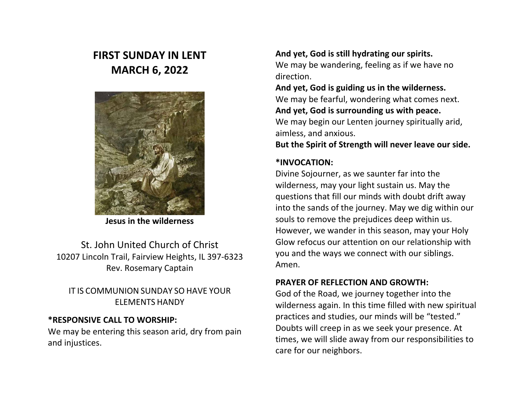# **FIRST SUNDAY IN LENT MARCH 6, 2022**



**Jesus in the wilderness**

St. John United Church of Christ 10207 Lincoln Trail, Fairview Heights, IL 397-6323 Rev. Rosemary Captain

### IT IS COMMUNION SUNDAY SO HAVE YOUR ELEMENTS HANDY

### **\*RESPONSIVE CALL TO WORSHIP:**

We may be entering this season arid, dry from pain and injustices.

### **And yet, God is still hydrating our spirits.**

We may be wandering, feeling as if we have no direction.

### **And yet, God is guiding us in the wilderness.**

We may be fearful, wondering what comes next. **And yet, God is surrounding us with peace.**

We may begin our Lenten journey spiritually arid, aimless, and anxious.

**But the Spirit of Strength will never leave our side.**

#### **\*INVOCATION:**

Divine Sojourner, as we saunter far into the wilderness, may your light sustain us. May the questions that fill our minds with doubt drift away into the sands of the journey. May we dig within our souls to remove the prejudices deep within us. However, we wander in this season, may your Holy Glow refocus our attention on our relationship with you and the ways we connect with our siblings. Amen.

### **PRAYER OF REFLECTION AND GROWTH:**

God of the Road, we journey together into the wilderness again. In this time filled with new spiritual practices and studies, our minds will be "tested." Doubts will creep in as we seek your presence. At times, we will slide away from our responsibilities to care for our neighbors.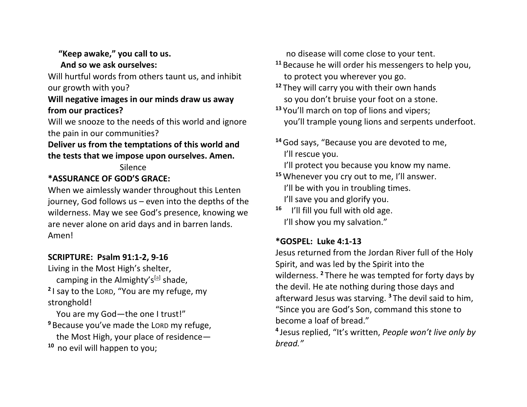# **"Keep awake," you call to us.**

### **And so we ask ourselves:**

Will hurtful words from others taunt us, and inhibit our growth with you?

## **Will negative images in our minds draw us away from our practices?**

Will we snooze to the needs of this world and ignore the pain in our communities?

## **Deliver us from the temptations of this world and the tests that we impose upon ourselves. Amen.**

# Silence

# **\*ASSURANCE OF GOD'S GRACE:**

When we aimlessly wander throughout this Lenten journey, God follows us – even into the depths of the wilderness. May we see God's presence, knowing we are never alone on arid days and in barren lands. Amen!

# **SCRIPTURE: Psalm 91:1-2, 9-16**

Living in the Most High's shelter,

camping in the Almighty's<sup>[\[a\]](https://www.biblegateway.com/passage/?search=Psalm+91%3A1-2%2C+9-16&version=CEB&interface=print#fen-CEB-15397a)</sup> shade,

**2** I say to the LORD, "You are my refuge, my stronghold!

You are my God—the one I trust!"

- **<sup>9</sup>** Because you've made the LORD my refuge, the Most High, your place of residence—
- **<sup>10</sup>** no evil will happen to you;

no disease will come close to your tent.

- **<sup>11</sup>** Because he will order his messengers to help you, to protect you wherever you go.
- **<sup>12</sup>** They will carry you with their own hands so you don't bruise your foot on a stone.
- **<sup>13</sup>** You'll march on top of lions and vipers; you'll trample young lions and serpents underfoot.
- **<sup>14</sup>**God says, "Because you are devoted to me, I'll rescue you.
	- I'll protect you because you know my name.
- **<sup>15</sup>**Whenever you cry out to me, I'll answer. I'll be with you in troubling times. I'll save you and glorify you.
- **16** I'll fill you full with old age. I'll show you my salvation."

# **\*GOSPEL: Luke 4:1-13**

Jesus returned from the Jordan River full of the Holy Spirit, and was led by the Spirit into the wilderness. **<sup>2</sup>** There he was tempted for forty days by the devil. He ate nothing during those days and afterward Jesus was starving. **<sup>3</sup>** The devil said to him, "Since you are God's Son, command this stone to become a loaf of bread."

**4** Jesus replied, "It's written, *People won't live only by bread."*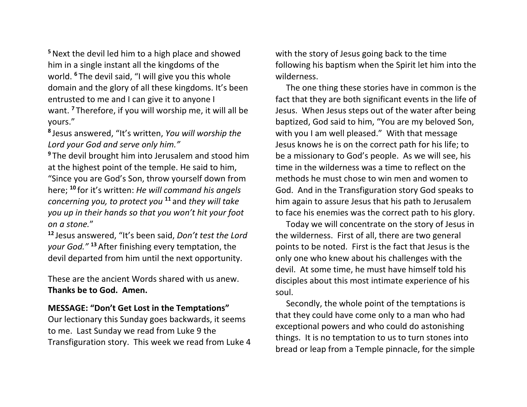**<sup>5</sup>**Next the devil led him to a high place and showed him in a single instant all the kingdoms of the world. **<sup>6</sup>** The devil said, "I will give you this whole domain and the glory of all these kingdoms. It's been entrusted to me and I can give it to anyone I want. **<sup>7</sup>** Therefore, if you will worship me, it will all be yours."

**8** Jesus answered, "It's written, *You will worship the Lord your God and serve only him."*

**<sup>9</sup>** The devil brought him into Jerusalem and stood him at the highest point of the temple. He said to him, "Since you are God's Son, throw yourself down from here; **<sup>10</sup>** for it's written: *He will command his angels concerning you, to protect you* **<sup>11</sup>** and *they will take you up in their hands so that you won't hit your foot on a stone.*"

**<sup>12</sup>** Jesus answered, "It's been said, *Don't test the Lord your God."* **<sup>13</sup>** After finishing every temptation, the devil departed from him until the next opportunity.

These are the ancient Words shared with us anew. **Thanks be to God. Amen.**

### **MESSAGE: "Don't Get Lost in the Temptations"**

Our lectionary this Sunday goes backwards, it seems to me. Last Sunday we read from Luke 9 the Transfiguration story. This week we read from Luke 4

with the story of Jesus going back to the time following his baptism when the Spirit let him into the wilderness.

 The one thing these stories have in common is the fact that they are both significant events in the life of Jesus. When Jesus steps out of the water after being baptized, God said to him, "You are my beloved Son, with you I am well pleased." With that message Jesus knows he is on the correct path for his life; to be a missionary to God's people. As we will see, his time in the wilderness was a time to reflect on the methods he must chose to win men and women to God. And in the Transfiguration story God speaks to him again to assure Jesus that his path to Jerusalem to face his enemies was the correct path to his glory.

 Today we will concentrate on the story of Jesus in the wilderness. First of all, there are two general points to be noted. First is the fact that Jesus is the only one who knew about his challenges with the devil. At some time, he must have himself told his disciples about this most intimate experience of his soul.

 Secondly, the whole point of the temptations is that they could have come only to a man who had exceptional powers and who could do astonishing things. It is no temptation to us to turn stones into bread or leap from a Temple pinnacle, for the simple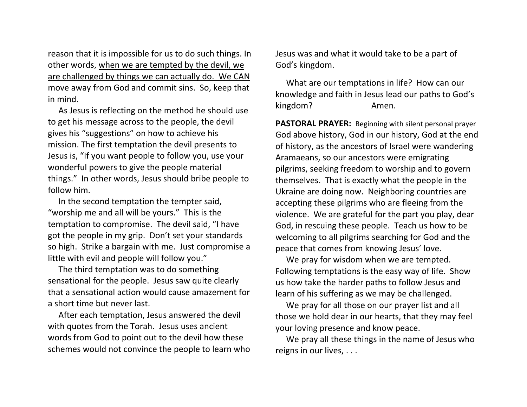reason that it is impossible for us to do such things. In other words, when we are tempted by the devil, we are challenged by things we can actually do. We CAN move away from God and commit sins. So, keep that in mind.

 As Jesus is reflecting on the method he should use to get his message across to the people, the devil gives his "suggestions" on how to achieve his mission. The first temptation the devil presents to Jesus is, "If you want people to follow you, use your wonderful powers to give the people material things." In other words, Jesus should bribe people to follow him.

 In the second temptation the tempter said, "worship me and all will be yours." This is the temptation to compromise. The devil said, "I have got the people in my grip. Don't set your standards so high. Strike a bargain with me. Just compromise a little with evil and people will follow you."

 The third temptation was to do something sensational for the people. Jesus saw quite clearly that a sensational action would cause amazement for a short time but never last.

 After each temptation, Jesus answered the devil with quotes from the Torah. Jesus uses ancient words from God to point out to the devil how these schemes would not convince the people to learn who Jesus was and what it would take to be a part of God's kingdom.

 What are our temptations in life? How can our knowledge and faith in Jesus lead our paths to God's kingdom? Amen.

**PASTORAL PRAYER:** Beginning with silent personal prayer God above history, God in our history, God at the end of history, as the ancestors of Israel were wandering Aramaeans, so our ancestors were emigrating pilgrims, seeking freedom to worship and to govern themselves. That is exactly what the people in the Ukraine are doing now. Neighboring countries are accepting these pilgrims who are fleeing from the violence. We are grateful for the part you play, dear God, in rescuing these people. Teach us how to be welcoming to all pilgrims searching for God and the peace that comes from knowing Jesus' love.

 We pray for wisdom when we are tempted. Following temptations is the easy way of life. Show us how take the harder paths to follow Jesus and learn of his suffering as we may be challenged.

 We pray for all those on our prayer list and all those we hold dear in our hearts, that they may feel your loving presence and know peace.

 We pray all these things in the name of Jesus who reigns in our lives, . . .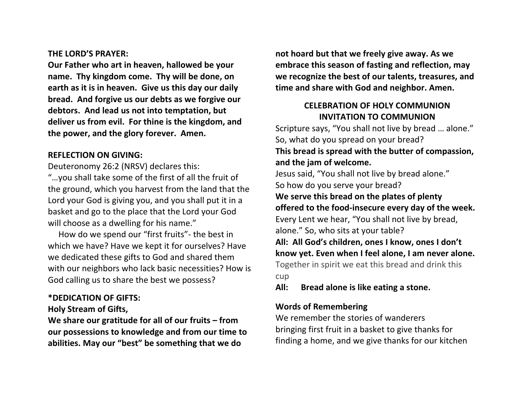### **THE LORD'S PRAYER:**

**Our Father who art in heaven, hallowed be your name. Thy kingdom come. Thy will be done, on earth as it is in heaven. Give us this day our daily bread. And forgive us our debts as we forgive our debtors. And lead us not into temptation, but deliver us from evil. For thine is the kingdom, and the power, and the glory forever. Amen.**

### **REFLECTION ON GIVING:**

Deuteronomy 26:2 (NRSV) declares this: "…you shall take some of the first of all the fruit of the ground, which you harvest from the land that the Lord your God is giving you, and you shall put it in a basket and go to the place that the Lord your God will choose as a dwelling for his name."

 How do we spend our "first fruits"- the best in which we have? Have we kept it for ourselves? Have we dedicated these gifts to God and shared them with our neighbors who lack basic necessities? How is God calling us to share the best we possess?

### **\*DEDICATION OF GIFTS:**

**Holy Stream of Gifts,**

**We share our gratitude for all of our fruits – from our possessions to knowledge and from our time to abilities. May our "best" be something that we do** 

**not hoard but that we freely give away. As we embrace this season of fasting and reflection, may we recognize the best of our talents, treasures, and time and share with God and neighbor. Amen.**

### **CELEBRATION OF HOLY COMMUNION INVITATION TO COMMUNION**

Scripture says, "You shall not live by bread … alone." So, what do you spread on your bread?

**This bread is spread with the butter of compassion, and the jam of welcome.**

Jesus said, "You shall not live by bread alone." So how do you serve your bread?

**We serve this bread on the plates of plenty offered to the food-insecure every day of the week.** Every Lent we hear, "You shall not live by bread, alone." So, who sits at your table? **All: All God's children, ones I know, ones I don't know yet. Even when I feel alone, I am never alone.**

Together in spirit we eat this bread and drink this cup

**All: Bread alone is like eating a stone.**

### **Words of Remembering**

We remember the stories of wanderers bringing first fruit in a basket to give thanks for finding a home, and we give thanks for our kitchen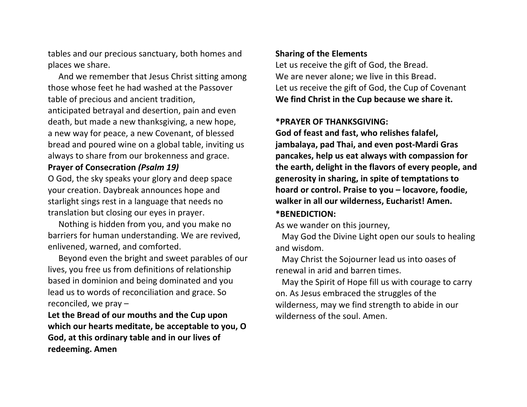tables and our precious sanctuary, both homes and places we share.

 And we remember that Jesus Christ sitting among those whose feet he had washed at the Passover table of precious and ancient tradition, anticipated betrayal and desertion, pain and even death, but made a new thanksgiving, a new hope, a new way for peace, a new Covenant, of blessed bread and poured wine on a global table, inviting us always to share from our brokenness and grace.

#### **Prayer of Consecration** *(Psalm 19)*

O God, the sky speaks your glory and deep space your creation. Daybreak announces hope and starlight sings rest in a language that needs no translation but closing our eyes in prayer.

 Nothing is hidden from you, and you make no barriers for human understanding. We are revived, enlivened, warned, and comforted.

 Beyond even the bright and sweet parables of our lives, you free us from definitions of relationship based in dominion and being dominated and you lead us to words of reconciliation and grace. So reconciled, we pray –

**Let the Bread of our mouths and the Cup upon which our hearts meditate, be acceptable to you, O God, at this ordinary table and in our lives of redeeming. Amen**

#### **Sharing of the Elements**

Let us receive the gift of God, the Bread. **We are never alone; we live in this Bread.** Let us receive the gift of God, the Cup of Covenant **We find Christ in the Cup because we share it.**

#### **\*PRAYER OF THANKSGIVING:**

**God of feast and fast, who relishes falafel, jambalaya, pad Thai, and even post-Mardi Gras pancakes, help us eat always with compassion for the earth, delight in the flavors of every people, and generosity in sharing, in spite of temptations to hoard or control. Praise to you – locavore, foodie, walker in all our wilderness, Eucharist! Amen.**

#### **\*BENEDICTION:**

As we wander on this journey,

 May God the Divine Light open our souls to healing and wisdom.

 May Christ the Sojourner lead us into oases of renewal in arid and barren times.

 May the Spirit of Hope fill us with courage to carry on. As Jesus embraced the struggles of the wilderness, may we find strength to abide in our wilderness of the soul. Amen.